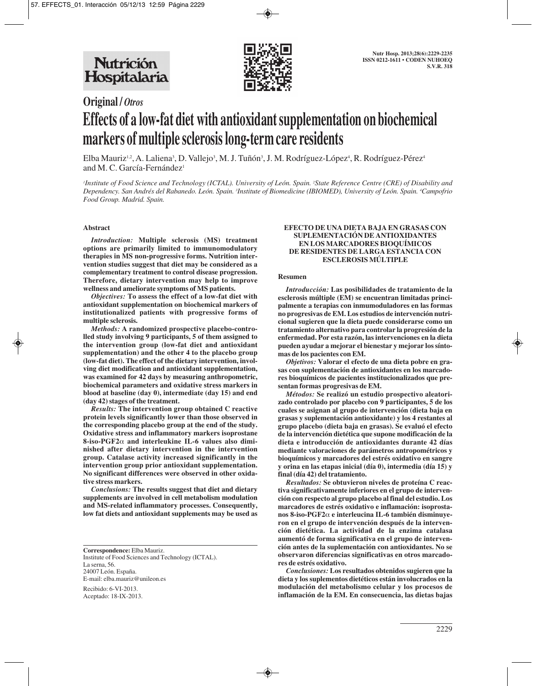

# **Original /** *Otros* **Effects of a low-fat diet with antioxidant supplementation on biochemical markers of multiple sclerosis long-term care residents**

Elba Mauriz½, A. Laliena3, D. Vallejo3, M. J. Tuñón3, J. M. Rodríguez-López4, R. Rodríguez-Pérez4 and M. C. García-Fernández<sup>1</sup>

*1 Institute of Food Science and Technology (ICTAL). University of León. Spain. 2 State Reference Centre (CRE) of Disability and Dependency. San Andrés del Rabanedo. León. Spain. 3 Institute of Biomedicine (IBIOMED), University of León. Spain. 4 Campofrio Food Group. Madrid. Spain.*

### **Abstract**

*Introduction:* **Multiple sclerosis (MS) treatment options are primarily limited to immunomodulatory therapies in MS non-progressive forms. Nutrition intervention studies suggest that diet may be considered as a complementary treatment to control disease progression. Therefore, dietary intervention may help to improve wellness and ameliorate symptoms of MS patients.** 

*Objectives:* **To assess the effect of a low-fat diet with antioxidant supplementation on biochemical markers of institutionalized patients with progressive forms of multiple sclerosis.** 

*Methods:* **A randomized prospective placebo-controlled study involving 9 participants, 5 of them assigned to the intervention group (low-fat diet and antioxidant supplementation) and the other 4 to the placebo group (low-fat diet). The effect of the dietary intervention, involving diet modification and antioxidant supplementation, was examined for 42 days by measuring anthropometric, biochemical parameters and oxidative stress markers in blood at baseline (day 0), intermediate (day 15) and end (day 42) stages of the treatment.**

*Results:* **The intervention group obtained C reactive protein levels significantly lower than those observed in the corresponding placebo group at the end of the study. Oxidative stress and inflammatory markers isoprostane 8-iso-PGF2**α **and interleukine IL-6 values also diminished after dietary intervention in the intervention group. Catalase activity increased significantly in the intervention group prior antioxidant supplementation. No significant differences were observed in other oxidative stress markers.** 

*Conclusions:* **The results suggest that diet and dietary supplements are involved in cell metabolism modulation and MS-related inflammatory processes. Consequently, low fat diets and antioxidant supplements may be used as**

**Correspondence:** Elba Mauriz. Institute of Food Sciences and Technology (ICTAL). La serna, 56. 24007 León. España. E-mail: elba.mauriz@unileon.es

Recibido: 6-VI-2013. Aceptado: 18-IX-2013.

#### **EFECTO DE UNA DIETA BAJA EN GRASAS CON SUPLEMENTACIÓN DE ANTIOXIDANTES EN LOS MARCADORES BIOQUÍMICOS DE RESIDENTES DE LARGA ESTANCIA CON ESCLEROSIS MÚLTIPLE**

#### **Resumen**

*Introducción:* **Las posibilidades de tratamiento de la esclerosis múltiple (EM) se encuentran limitadas principalmente a terapias con inmumoduladores en las formas no progresivas de EM. Los estudios de intervención nutricional sugieren que la dieta puede considerarse como un tratamiento alternativo para controlar la progresión de la enfermedad. Por esta razón, las intervenciones en la dieta pueden ayudar a mejorar el bienestar y mejorar los síntomas de los pacientes con EM.** 

*Objetivos:* **Valorar el efecto de una dieta pobre en grasas con suplementación de antioxidantes en los marcadores bioquímicos de pacientes institucionalizados que presentan formas progresivas de EM.** 

*Métodos:* **Se realizó un estudio prospectivo aleatorizado controlado por placebo con 9 participantes, 5 de los cuales se asignan al grupo de intervención (dieta baja en grasas y suplementación antioxidante) y los 4 restantes al grupo placebo (dieta baja en grasas). Se evaluó el efecto de la intervención dietética que supone modificación de la dieta e introducción de antioxidantes durante 42 días mediante valoraciones de parámetros antropométricos y bioquímicos y marcadores del estrés oxidativo en sangre y orina en las etapas inicial (día 0), intermedia (día 15) y final (día 42) del tratamiento.**

*Resultados:* **Se obtuvieron niveles de proteína C reactiva significativamente inferiores en el grupo de intervención con respecto al grupo placebo al final del estudio. Los marcadores de estrés oxidativo e inflamación: isoprostanos 8-iso-PGF2**α **e interleucina IL-6 también disminuyeron en el grupo de intervención después de la intervención dietética. La actividad de la enzima catalasa aumentó de forma significativa en el grupo de intervención antes de la suplementación con antioxidantes. No se observaron diferencias significativas en otros marcadores de estrés oxidativo.** 

*Conclusiones:* **Los resultados obtenidos sugieren que la dieta y los suplementos dietéticos están involucrados en la modulación del metabolismo celular y los procesos de inflamación de la EM. En consecuencia, las dietas bajas**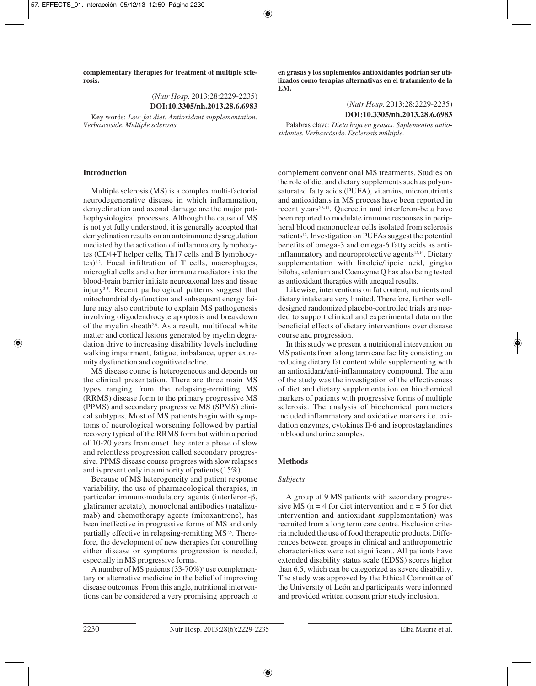**complementary therapies for treatment of multiple sclerosis.**

> (*Nutr Hosp.* 2013;28:2229-2235) **DOI:10.3305/nh.2013.28.6.6983**

Key words: *Low-fat diet. Antioxidant supplementation. Verbascoside. Multiple sclerosis.*

## **Introduction**

Multiple sclerosis (MS) is a complex multi-factorial neurodegenerative disease in which inflammation, demyelination and axonal damage are the major pathophysiological processes. Although the cause of MS is not yet fully understood, it is generally accepted that demyelination results on an autoimmune dysregulation mediated by the activation of inflammatory lymphocytes (CD4+T helper cells, Th17 cells and B lymphocytes)1,2. Focal infiltration of T cells, macrophages, microglial cells and other immune mediators into the blood-brain barrier initiate neuroaxonal loss and tissue injury3-5. Recent pathological patterns suggest that mitochondrial dysfunction and subsequent energy failure may also contribute to explain MS pathogenesis involving oligodendrocyte apoptosis and breakdown of the myelin sheath<sup>2,6</sup>. As a result, multifocal white matter and cortical lesions generated by myelin degradation drive to increasing disability levels including walking impairment, fatigue, imbalance, upper extremity dysfunction and cognitive decline.

MS disease course is heterogeneous and depends on the clinical presentation. There are three main MS types ranging from the relapsing-remitting MS (RRMS) disease form to the primary progressive MS (PPMS) and secondary progressive MS (SPMS) clinical subtypes. Most of MS patients begin with symptoms of neurological worsening followed by partial recovery typical of the RRMS form but within a period of 10-20 years from onset they enter a phase of slow and relentless progression called secondary progressive. PPMS disease course progress with slow relapses and is present only in a minority of patients (15%).

Because of MS heterogeneity and patient response variability, the use of pharmacological therapies, in particular immunomodulatory agents (interferon-β, glatiramer acetate), monoclonal antibodies (natalizumab) and chemotherapy agents (mitoxantrone), has been ineffective in progressive forms of MS and only partially effective in relapsing-remitting MS<sup>7,8</sup>. Therefore, the development of new therapies for controlling either disease or symptoms progression is needed, especially in MS progressive forms.

A number of MS patients  $(33-70\%)$ <sup>7</sup> use complementary or alternative medicine in the belief of improving disease outcomes. From this angle, nutritional interventions can be considered a very promising approach to

**en grasas y los suplementos antioxidantes podrían ser utilizados como terapias alternativas en el tratamiento de la EM.**

> (*Nutr Hosp.* 2013;28:2229-2235) **DOI:10.3305/nh.2013.28.6.6983**

Palabras clave: *Dieta baja en grasas. Suplementos antioxidantes. Verbascósido. Esclerosis múltiple.*

complement conventional MS treatments. Studies on the role of diet and dietary supplements such as polyunsaturated fatty acids (PUFA), vitamins, micronutrients and antioxidants in MS process have been reported in recent years<sup>2,8-11</sup>. Quercetin and interferon-beta have been reported to modulate immune responses in peripheral blood mononuclear cells isolated from sclerosis patients<sup>12</sup>. Investigation on PUFAs suggest the potential benefits of omega-3 and omega-6 fatty acids as antiinflammatory and neuroprotective agents<sup>13,14</sup>. Dietary supplementation with linoleic/lipoic acid, gingko biloba, selenium and Coenzyme Q has also being tested as antioxidant therapies with unequal results.

Likewise, interventions on fat content, nutrients and dietary intake are very limited. Therefore, further welldesigned randomized placebo-controlled trials are needed to support clinical and experimental data on the beneficial effects of dietary interventions over disease course and progression.

In this study we present a nutritional intervention on MS patients from a long term care facility consisting on reducing dietary fat content while supplementing with an antioxidant/anti-inflammatory compound. The aim of the study was the investigation of the effectiveness of diet and dietary supplementation on biochemical markers of patients with progressive forms of multiple sclerosis. The analysis of biochemical parameters included inflammatory and oxidative markers i.e. oxidation enzymes, cytokines Il-6 and isoprostaglandines in blood and urine samples.

## **Methods**

### *Subjects*

A group of 9 MS patients with secondary progressive MS ( $n = 4$  for diet intervention and  $n = 5$  for diet intervention and antioxidant supplementation) was recruited from a long term care centre. Exclusion criteria included the use of food therapeutic products. Differences between groups in clinical and anthropometric characteristics were not significant. All patients have extended disability status scale (EDSS) scores higher than 6.5, which can be categorized as severe disability. The study was approved by the Ethical Committee of the University of León and participants were informed and provided written consent prior study inclusion.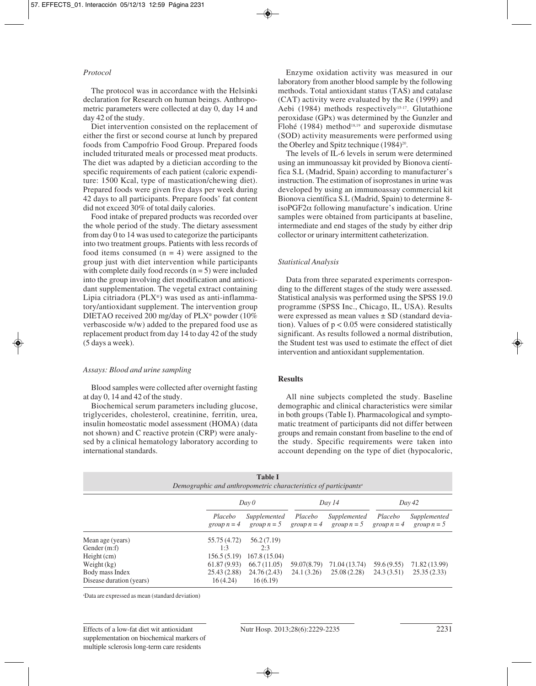# *Protocol*

The protocol was in accordance with the Helsinki declaration for Research on human beings. Anthropometric parameters were collected at day 0, day 14 and day 42 of the study.

Diet intervention consisted on the replacement of either the first or second course at lunch by prepared foods from Campofrio Food Group. Prepared foods included triturated meals or processed meat products. The diet was adapted by a dietician according to the specific requirements of each patient (caloric expenditure: 1500 Kcal, type of mastication/chewing diet). Prepared foods were given five days per week during 42 days to all participants. Prepare foods' fat content did not exceed 30% of total daily calories.

Food intake of prepared products was recorded over the whole period of the study. The dietary assessment from day 0 to 14 was used to categorize the participants into two treatment groups. Patients with less records of food items consumed  $(n = 4)$  were assigned to the group just with diet intervention while participants with complete daily food records  $(n = 5)$  were included into the group involving diet modification and antioxidant supplementation. The vegetal extract containing Lipia citriadora (PLX®) was used as anti-inflammatory/antioxidant supplement. The intervention group DIETAO received 200 mg/day of PLX® powder (10% verbascoside w/w) added to the prepared food use as replacement product from day 14 to day 42 of the study (5 days a week).

#### *Assays: Blood and urine sampling*

Blood samples were collected after overnight fasting at day 0, 14 and 42 of the study.

Biochemical serum parameters including glucose, triglycerides, cholesterol, creatinine, ferritin, urea, insulin homeostatic model assessment (HOMA) (data not shown) and C reactive protein (CRP) were analysed by a clinical hematology laboratory according to international standards.

Enzyme oxidation activity was measured in our laboratory from another blood sample by the following methods. Total antioxidant status (TAS) and catalase (CAT) activity were evaluated by the Re (1999) and Aebi (1984) methods respectively<sup>15-17</sup>. Glutathione peroxidase (GPx) was determined by the Gunzler and Flohé (1984) method<sup>18,19</sup> and superoxide dismutase (SOD) activity measurements were performed using the Oberley and Spitz technique  $(1984)^{20}$ .

The levels of IL-6 levels in serum were determined using an immunoassay kit provided by Bionova científica S.L (Madrid, Spain) according to manufacturer's instruction. The estimation of isoprostanes in urine was developed by using an immunoassay commercial kit Bionova científica S.L (Madrid, Spain) to determine 8 isoPGF2α following manufacture's indication. Urine samples were obtained from participants at baseline, intermediate and end stages of the study by either drip collector or urinary intermittent catheterization.

## *Statistical Analysis*

Data from three separated experiments corresponding to the different stages of the study were assessed. Statistical analysis was performed using the SPSS 19.0 programme (SPSS Inc., Chicago, IL, USA). Results were expressed as mean values ± SD (standard deviation). Values of  $p < 0.05$  were considered statistically significant. As results followed a normal distribution, the Student test was used to estimate the effect of diet intervention and antioxidant supplementation.

#### **Results**

All nine subjects completed the study. Baseline demographic and clinical characteristics were similar in both groups (Table I). Pharmacological and symptomatic treatment of participants did not differ between groups and remain constant from baseline to the end of the study. Specific requirements were taken into account depending on the type of diet (hypocaloric,

| <b>Table I</b><br>Demographic and anthropometric characteristics of participants <sup>a</sup> |                          |                               |                          |                               |                          |                               |  |  |
|-----------------------------------------------------------------------------------------------|--------------------------|-------------------------------|--------------------------|-------------------------------|--------------------------|-------------------------------|--|--|
|                                                                                               |                          | Day 0                         |                          | Day 14                        |                          | Day 42                        |  |  |
|                                                                                               | Placebo<br>group $n = 4$ | Supplemented<br>group $n = 5$ | Placebo<br>group $n = 4$ | Supplemented<br>group $n = 5$ | Placebo<br>group $n = 4$ | Supplemented<br>group $n = 5$ |  |  |
| Mean age (years)                                                                              | 55.75 (4.72)             | 56.2 (7.19)                   |                          |                               |                          |                               |  |  |
| Gender (m:f)                                                                                  | 1:3                      | 2:3                           |                          |                               |                          |                               |  |  |
| $Height$ (cm)                                                                                 | 156.5(5.19)              | 167.8 (15.04)                 |                          |                               |                          |                               |  |  |
| Weight $(kg)$                                                                                 | 61.87(9.93)              | 66.7(11.05)                   | 59.07(8.79)              | 71.04 (13.74)                 | 59.6 (9.55)              | 71.82 (13.99)                 |  |  |
| Body mass Index                                                                               | 25.43 (2.88)             | 24.76 (2.43)                  | 24.1 (3.26)              | 25.08 (2.28)                  | 24.3(3.51)               | 25.35(2.33)                   |  |  |
| Disease duration (years)                                                                      | 16(4.24)                 | 16(6.19)                      |                          |                               |                          |                               |  |  |

a Data are expressed as mean (standard deviation)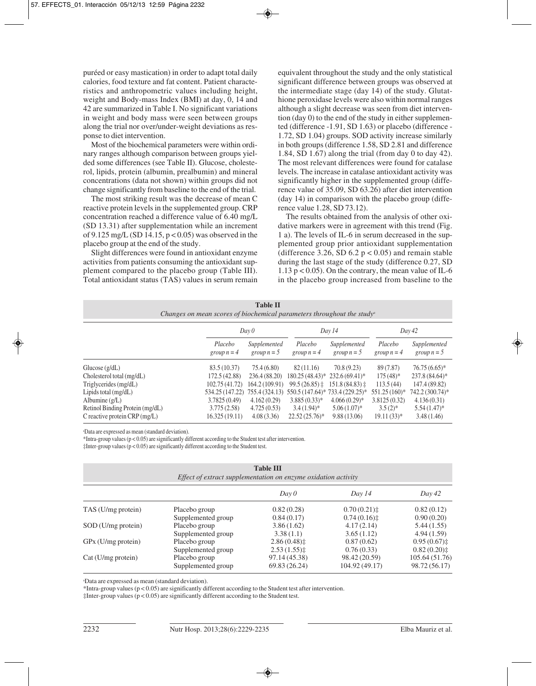puréed or easy mastication) in order to adapt total daily calories, food texture and fat content. Patient characteristics and anthropometric values including height, weight and Body-mass Index (BMI) at day, 0, 14 and 42 are summarized in Table I. No significant variations in weight and body mass were seen between groups along the trial nor over/under-weight deviations as response to diet intervention.

Most of the biochemical parameters were within ordinary ranges although comparison between groups yielded some differences (see Table II). Glucose, cholesterol, lipids, protein (albumin, prealbumin) and mineral concentrations (data not shown) within groups did not change significantly from baseline to the end of the trial.

The most striking result was the decrease of mean C reactive protein levels in the supplemented group. CRP concentration reached a difference value of 6.40 mg/L (SD 13.31) after supplementation while an increment of 9.125 mg/L (SD 14.15,  $p < 0.05$ ) was observed in the placebo group at the end of the study.

Slight differences were found in antioxidant enzyme activities from patients consuming the antioxidant supplement compared to the placebo group (Table III). Total antioxidant status (TAS) values in serum remain equivalent throughout the study and the only statistical significant difference between groups was observed at the intermediate stage (day 14) of the study. Glutathione peroxidase levels were also within normal ranges although a slight decrease was seen from diet intervention (day 0) to the end of the study in either supplemented (difference -1.91, SD 1.63) or placebo (difference - 1.72, SD 1.04) groups. SOD activity increase similarly in both groups (difference 1.58, SD 2.81 and difference 1.84, SD 1.67) along the trial (from day 0 to day 42). The most relevant differences were found for catalase levels. The increase in catalase antioxidant activity was significantly higher in the supplemented group (difference value of 35.09, SD 63.26) after diet intervention (day 14) in comparison with the placebo group (difference value 1.28, SD 73.12).

The results obtained from the analysis of other oxidative markers were in agreement with this trend (Fig. 1 a). The levels of IL-6 in serum decreased in the supplemented group prior antioxidant supplementation (difference 3.26, SD  $6.2$  p < 0.05) and remain stable during the last stage of the study (difference 0.27, SD 1.13  $p < 0.05$ ). On the contrary, the mean value of IL-6 in the placebo group increased from baseline to the

| <b>Table II</b><br>Changes on mean scores of biochemical parameters throughout the study <sup><math>\alpha</math></sup> |                          |                               |                          |                                 |                          |                               |  |
|-------------------------------------------------------------------------------------------------------------------------|--------------------------|-------------------------------|--------------------------|---------------------------------|--------------------------|-------------------------------|--|
|                                                                                                                         | Day 0                    |                               | Day 14                   |                                 | Day 42                   |                               |  |
|                                                                                                                         | Placebo<br>group $n = 4$ | Supplemented<br>group $n = 5$ | Placebo<br>group $n = 4$ | Supplemented<br>group $n = 5$   | Placebo<br>group $n = 4$ | Supplemented<br>group $n = 5$ |  |
| Glucose $(g/dL)$                                                                                                        | 83.5 (10.37)             | 75.4(6.80)                    | 82(11.16)                | 70.8(9.23)                      | 89 (7.87)                | $76.75(6.65)^*$               |  |
| Cholesterol total $(mg/dL)$                                                                                             | 172.5 (42.88)            | 236.4 (88.20)                 |                          | 180.25 (48.43)* 232.6 (69.41)*  | $175(48)$ *              | 237.8 (84.64)*                |  |
| Triglycerides (mg/dL)                                                                                                   | 102.75 (41.72)           | 164.2 (109.91)                | $99.5(26.85)$ :          | $151.8(84.83)$ ±                | 113.5(44)                | 147.4 (89.82)                 |  |
| Lipids total (mg/dL)                                                                                                    | 534.25 (147.22)          | 755.4 (324.13)                |                          | 550.5 (147.64)* 733.4 (229.25)* | $551.25(160)*$           | 742.2 (300.74)*               |  |
| Albumine $(g/L)$                                                                                                        | 3.7825(0.49)             | 4.162(0.29)                   | $3.885(0.33)*$           | $4.066(0.29)$ *                 | 3.8125(0.32)             | 4.136(0.31)                   |  |
| Retinol Binding Protein (mg/dL)                                                                                         | 3.775(2.58)              | 4.725(0.53)                   | $3.4(1.94)$ *            | $5.06(1.07)^{*}$                | $3.5(2)$ *               | $5.54(1.47)^*$                |  |
| C reactive protein $CRP$ (mg/L)                                                                                         | 16.325(19.11)            | 4.08(3.36)                    | $22.52(25.76)^*$         | 9.88(13.06)                     | $19.11(33)*$             | 3.48(1.46)                    |  |

a Data are expressed as mean (standard deviation).

\*Intra-group values ( $p < 0.05$ ) are significantly different according to the Student test after intervention.

‡Inter-group values (p < 0.05) are significantly different according to the Student test.

| <b>Table III</b><br>Effect of extract supplementation on enzyme oxidation activity |                    |                |                |                         |  |  |  |
|------------------------------------------------------------------------------------|--------------------|----------------|----------------|-------------------------|--|--|--|
|                                                                                    |                    | Day 0          | Day 14         | Day 42                  |  |  |  |
| TAS (U/mg protein)                                                                 | Placebo group      | 0.82(0.28)     | 0.70(0.21)     | 0.82(0.12)              |  |  |  |
|                                                                                    | Supplemented group | 0.84(0.17)     | 0.74(0.16)     | 0.90(0.20)              |  |  |  |
| SOD (U/mg protein)                                                                 | Placebo group      | 3.86(1.62)     | 4.17(2.14)     | 5.44(1.55)              |  |  |  |
|                                                                                    | Supplemented group | 3.38(1.1)      | 3.65(1.12)     | 4.94(1.59)              |  |  |  |
| GPx (U/mg protein)                                                                 | Placebo group      | $2.86(0.48)$ : | 0.87(0.62)     | 0.95(0.67)              |  |  |  |
|                                                                                    | Supplemented group | $2.53(1.55)$ : | 0.76(0.33)     | $0.82(0.20)$ $\ddagger$ |  |  |  |
| $Cat(U/mg)$ protein)                                                               | Placebo group      | 97.14 (45.38)  | 98.42 (20.59)  | 105.64(51.76)           |  |  |  |
|                                                                                    | Supplemented group | 69.83 (26.24)  | 104.92 (49.17) | 98.72 (56.17)           |  |  |  |

a Data are expressed as mean (standard deviation).

\*Intra-group values (p < 0.05) are significantly different according to the Student test after intervention.

‡Inter-group values (p < 0.05) are significantly different according to the Student test.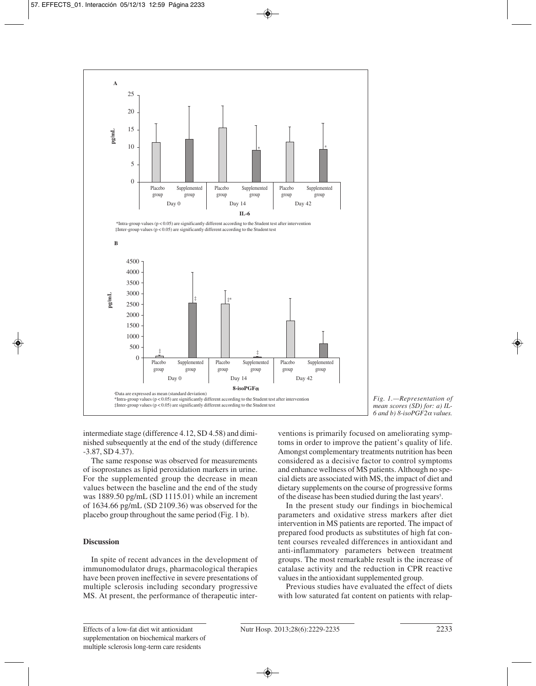

*Fig. 1.—Representation of mean scores (SD) for: a) IL-6 and b) 8-isoPGF2*<sup>α</sup> *values.*

intermediate stage (difference 4.12, SD 4.58) and diminished subsequently at the end of the study (difference -3.87, SD 4.37).

The same response was observed for measurements of isoprostanes as lipid peroxidation markers in urine. For the supplemented group the decrease in mean values between the baseline and the end of the study was 1889.50 pg/mL (SD 1115.01) while an increment of 1634.66 pg/mL (SD 2109.36) was observed for the placebo group throughout the same period (Fig. 1 b).

## **Discussion**

In spite of recent advances in the development of immunomodulator drugs, pharmacological therapies have been proven ineffective in severe presentations of multiple sclerosis including secondary progressive MS. At present, the performance of therapeutic interventions is primarily focused on ameliorating symptoms in order to improve the patient's quality of life. Amongst complementary treatments nutrition has been considered as a decisive factor to control symptoms and enhance wellness of MS patients. Although no special diets are associated with MS, the impact of diet and dietary supplements on the course of progressive forms of the disease has been studied during the last years<sup>5</sup>.

In the present study our findings in biochemical parameters and oxidative stress markers after diet intervention in MS patients are reported. The impact of prepared food products as substitutes of high fat content courses revealed differences in antioxidant and anti-inflammatory parameters between treatment groups. The most remarkable result is the increase of catalase activity and the reduction in CPR reactive values in the antioxidant supplemented group.

Previous studies have evaluated the effect of diets with low saturated fat content on patients with relap-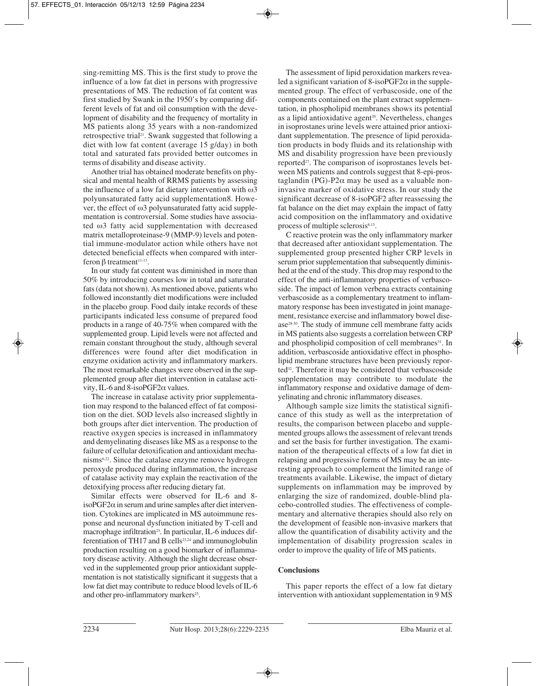sing-remitting MS. This is the first study to prove the influence of a low fat diet in persons with progressive presentations of MS. The reduction of fat content was first studied by Swank in the 1950's by comparing different levels of fat and oil consumption with the development of disability and the frequency of mortality in MS patients along 35 years with a non-randomized retrospective trial<sup>21</sup>. Swank suggested that following a diet with low fat content (average 15 g/day) in both total and saturated fats provided better outcomes in terms of disability and disease activity.

Another trial has obtained moderate benefits on physical and mental health of RRMS patients by assessing the influence of a low fat dietary intervention with  $ω3$ polyunsaturated fatty acid supplementation8. However, the effect of ω3 polyunsaturated fatty acid supplementation is controversial. Some studies have associated ω3 fatty acid supplementation with decreased matrix metalloproteinase-9 (MMP-9) levels and potential immune-modulator action while others have not detected beneficial effects when compared with interferon  $β$  treatment<sup>11-13</sup>.

In our study fat content was diminished in more than 50% by introducing courses low in total and saturated fats (data not shown). As mentioned above, patients who followed inconstantly diet modifications were included in the placebo group. Food daily intake records of these participants indicated less consume of prepared food products in a range of 40-75% when compared with the supplemented group. Lipid levels were not affected and remain constant throughout the study, although several differences were found after diet modification in enzyme oxidation activity and inflammatory markers. The most remarkable changes were observed in the supplemented group after diet intervention in catalase activity, IL-6 and 8-isoPGF2α values.

The increase in catalase activity prior supplementation may respond to the balanced effect of fat composition on the diet. SOD levels also increased slightly in both groups after diet intervention. The production of reactive oxygen species is increased in inflammatory and demyelinating diseases like MS as a response to the failure of cellular detoxification and antioxidant mechanisms6,22. Since the catalase enzyme remove hydrogen peroxyde produced during inflammation, the increase of catalase activity may explain the reactivation of the detoxifying process after reducing dietary fat.

Similar effects were observed for IL-6 and 8 isoPGF2 $\alpha$  in serum and urine samples after diet intervention. Cytokines are implicated in MS autoimmune response and neuronal dysfunction initiated by T-cell and macrophage infiltration<sup>23</sup>. In particular, IL-6 induces differentiation of TH17 and B cells<sup>23,24</sup> and immunoglobulin production resulting on a good biomarker of inflammatory disease activity. Although the slight decrease observed in the supplemented group prior antioxidant supplementation is not statistically significant it suggests that a low fat diet may contribute to reduce blood levels of IL-6 and other pro-inflammatory markers<sup>25</sup>.

The assessment of lipid peroxidation markers revealed a significant variation of  $8$ -isoPGF2 $\alpha$  in the supplemented group. The effect of verbascoside, one of the components contained on the plant extract supplementation, in phospholipid membranes shows its potential as a lipid antioxidative agent<sup>26</sup>. Nevertheless, changes in isoprostanes urine levels were attained prior antioxidant supplementation. The presence of lipid peroxidation products in body fluids and its relationship with MS and disability progression have been previously reported<sup>27</sup>. The comparison of isoprostanes levels between MS patients and controls suggest that 8-epi-prostaglandin (PG)-P2α may be used as a valuable noninvasive marker of oxidative stress. In our study the significant decrease of 8-isoPGF2 after reassessing the fat balance on the diet may explain the impact of fatty acid composition on the inflammatory and oxidative process of multiple sclerosis<sup>8,13</sup>.

C reactive protein was the only inflammatory marker that decreased after antioxidant supplementation. The supplemented group presented higher CRP levels in serum prior supplementation that subsequently diminished at the end of the study. This drop may respond to the effect of the anti-inflammatory properties of verbascoside. The impact of lemon verbena extracts containing verbascoside as a complementary treatment to inflammatory response has been investigated in joint management, resistance exercise and inflammatory bowel disease28-30. The study of immune cell membrane fatty acids in MS patients also suggests a correlation between CRP and phospholipid composition of cell membranes<sup>31</sup>. In addition, verbascoside antioxidative effect in phospholipid membrane structures have been previously reported<sup>32</sup>. Therefore it may be considered that verbascoside supplementation may contribute to modulate the inflammatory response and oxidative damage of demyelinating and chronic inflammatory diseases.

Although sample size limits the statistical significance of this study as well as the interpretation of results, the comparison between placebo and supplemented groups allows the assessment of relevant trends and set the basis for further investigation. The examination of the therapeutical effects of a low fat diet in relapsing and progressive forms of MS may be an interesting approach to complement the limited range of treatments available. Likewise, the impact of dietary supplements on inflammation may be improved by enlarging the size of randomized, double-blind placebo-controlled studies. The effectiveness of complementary and alternative therapies should also rely on the development of feasible non-invasive markers that allow the quantification of disability activity and the implementation of disability progression scales in order to improve the quality of life of MS patients.

## **Conclusions**

This paper reports the effect of a low fat dietary intervention with antioxidant supplementation in 9 MS